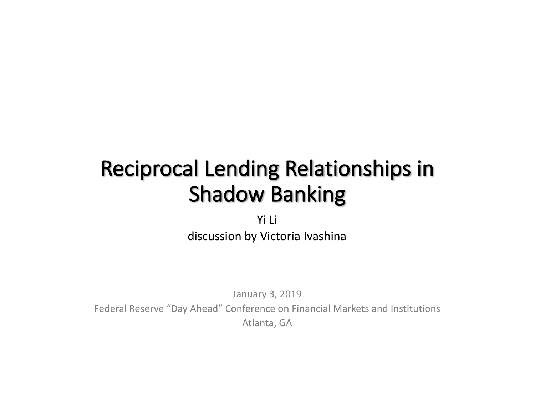# Reciprocal Lending Relationships in Shadow Banking

Yi Li discussion by Victoria Ivashina

January 3, 2019 Federal Reserve "Day Ahead" Conference on Financial Markets and Institutions Atlanta, GA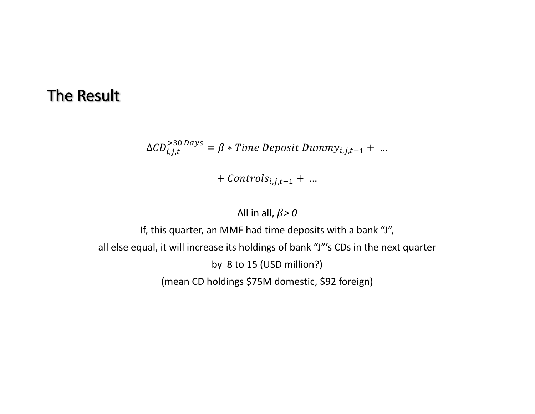#### **The Result**

$$
\Delta CD_{i,j,t}^{>30 \, days} = \beta * Time \, Deposit \, Dummy_{i,j,t-1} + \dots
$$

+  $\mathit{Controls}_{i,j,t-1}$  + …

#### All in all,  $\beta$  > 0

If, this quarter, an MMF had time deposits with a bank "J", all else equal, it will increase its holdings of bank "J"'s CDs in the next quarter by 8 to 15 (USD million?) (mean CD holdings \$75M domestic, \$92 foreign)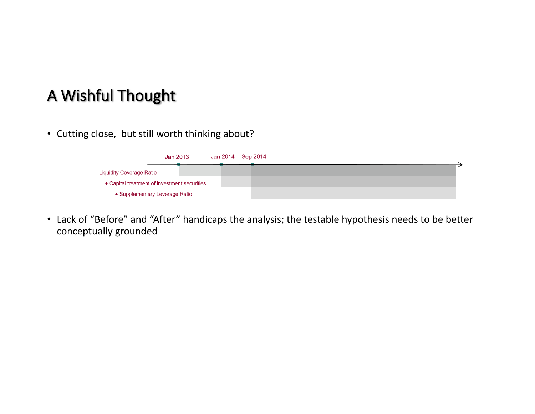## A Wishful Thought

• Cutting close, but still worth thinking about?



• Lack of "Before" and "After" handicaps the analysis; the testable hypothesis needs to be better conceptually grounded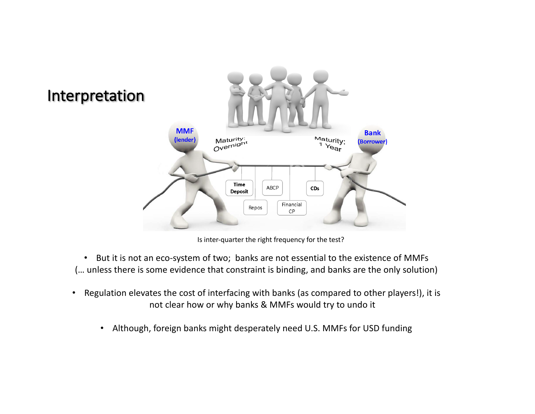

Is inter-quarter the right frequency for the test?

• But it is not an eco-system of two; banks are not essential to the existence of MMFs (... unless there is some evidence that constraint is binding, and banks are the only solution)

- Regulation elevates the cost of interfacing with banks (as compared to other players!), it is not clear how or why banks & MMFs would try to undo it
	- Although, foreign banks might desperately need U.S. MMFs for USD funding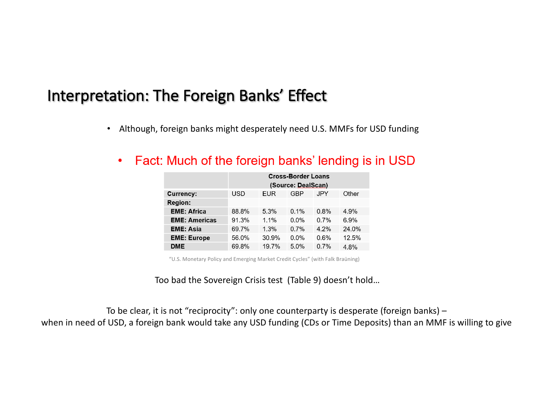#### Interpretation: The Foreign Banks' Effect

• Although, foreign banks might desperately need U.S. MMFs for USD funding

|                      | <b>Cross-Border Loans</b><br>(Source: DealScan) |         |         |      |       |
|----------------------|-------------------------------------------------|---------|---------|------|-------|
| Currency:            | USD                                             | EUR     | GBP     | JPY  | Other |
| Region:              |                                                 |         |         |      |       |
| <b>EME: Africa</b>   | 88.8%                                           | 5.3%    | 0.1%    | 0.8% | 4.9%  |
| <b>EME: Americas</b> | 91.3%                                           | $1.1\%$ | $0.0\%$ | 0.7% | 6.9%  |
| <b>EME: Asia</b>     | 69.7%                                           | 1.3%    | 0.7%    | 4.2% | 24.0% |
| <b>EME: Europe</b>   | 56.0%                                           | 30.9%   | $0.0\%$ | 0.6% | 12.5% |
| DME                  | 69.8%                                           | 19.7%   | 5.0%    | 0.7% | 4.8%  |

Fact: Much of the foreign banks' lending is in USD  $\bullet$ 

"U.S. Monetary Policy and Emerging Market Credit Cycles" (with Falk Braüning)

Too bad the Sovereign Crisis test (Table 9) doesn't hold...

To be clear, it is not "reciprocity": only one counterparty is desperate (foreign banks) – when in need of USD, a foreign bank would take any USD funding (CDs or Time Deposits) than an MMF is willing to give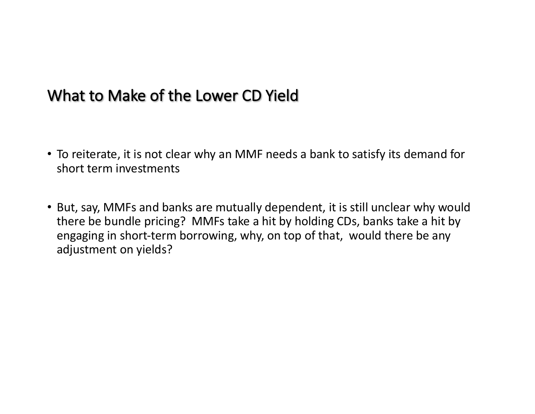#### What to Make of the Lower CD Yield

- To reiterate, it is not clear why an MMF needs a bank to satisfy its demand for short term investments
- But, say, MMFs and banks are mutually dependent, it is still unclear why would there be bundle pricing? MMFs take a hit by holding CDs, banks take a hit by engaging in short-term borrowing, why, on top of that, would there be any adjustment on yields?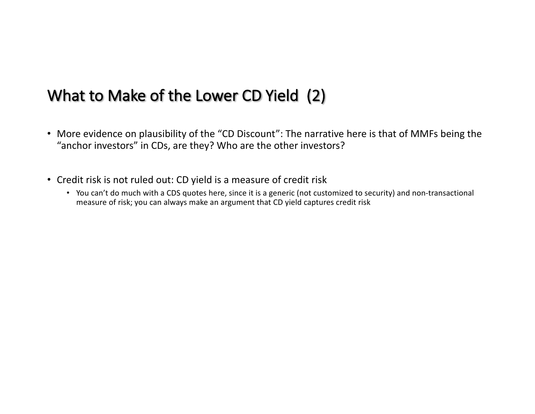## What to Make of the Lower CD Yield (2)

- More evidence on plausibility of the "CD Discount": The narrative here is that of MMFs being the "anchor investors" in CDs, are they? Who are the other investors?
- Credit risk is not ruled out: CD yield is a measure of credit risk
	- You can't do much with a CDS quotes here, since it is a generic (not customized to security) and non-transactional measure of risk; you can always make an argument that CD yield captures credit risk